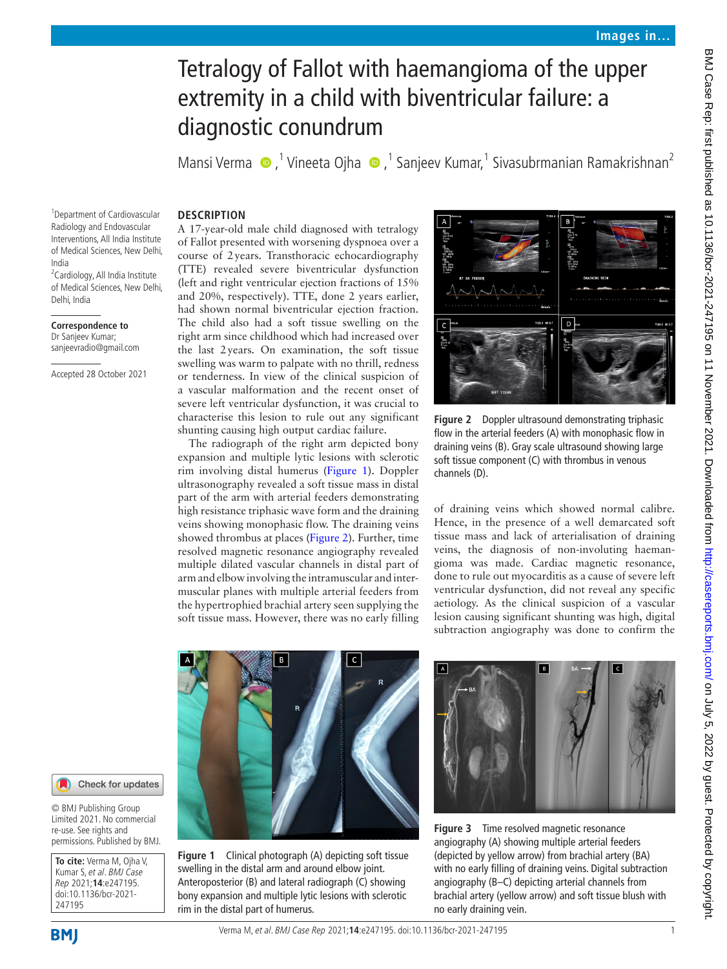# Tetralogy of Fallot with haemangioma of the upper extremity in a child with biventricular failure: a diagnostic conundrum

MansiVerma  $\bigcirc$ ,<sup>1</sup> Vineeta Ojha  $\bigcirc$ ,<sup>1</sup> Sanjeev Kumar,<sup>1</sup> Sivasubrmanian Ramakrishnan<sup>2</sup>

### **DESCRIPTION**

1 Department of Cardiovascular Radiology and Endovascular Interventions, All India Institute of Medical Sciences, New Delhi, India <sup>2</sup> Cardiology, All India Institute

of Medical Sciences, New Delhi, Delhi, India

**Correspondence to** Dr Sanjeev Kumar; sanjeevradio@gmail.com

Accepted 28 October 2021

A 17-year-old male child diagnosed with tetralogy of Fallot presented with worsening dyspnoea over a course of 2years. Transthoracic echocardiography (TTE) revealed severe biventricular dysfunction (left and right ventricular ejection fractions of 15% and 20%, respectively). TTE, done 2 years earlier, had shown normal biventricular ejection fraction. The child also had a soft tissue swelling on the right arm since childhood which had increased over the last 2years. On examination, the soft tissue swelling was warm to palpate with no thrill, redness or tenderness. In view of the clinical suspicion of a vascular malformation and the recent onset of severe left ventricular dysfunction, it was crucial to characterise this lesion to rule out any significant shunting causing high output cardiac failure.

The radiograph of the right arm depicted bony expansion and multiple lytic lesions with sclerotic rim involving distal humerus ([Figure](#page-0-0) 1). Doppler ultrasonography revealed a soft tissue mass in distal part of the arm with arterial feeders demonstrating high resistance triphasic wave form and the draining veins showing monophasic flow. The draining veins showed thrombus at places ([Figure](#page-0-1) 2). Further, time resolved magnetic resonance angiography revealed multiple dilated vascular channels in distal part of arm and elbow involving the intramuscular and intermuscular planes with multiple arterial feeders from the hypertrophied brachial artery seen supplying the soft tissue mass. However, there was no early filling



**Figure 2** Doppler ultrasound demonstrating triphasic flow in the arterial feeders (A) with monophasic flow in draining veins (B). Gray scale ultrasound showing large soft tissue component (C) with thrombus in venous channels (D).

<span id="page-0-1"></span>of draining veins which showed normal calibre. Hence, in the presence of a well demarcated soft tissue mass and lack of arterialisation of draining veins, the diagnosis of non-involuting haemangioma was made. Cardiac magnetic resonance, done to rule out myocarditis as a cause of severe left ventricular dysfunction, did not reveal any specific aetiology. As the clinical suspicion of a vascular lesion causing significant shunting was high, digital subtraction angiography was done to confirm the



© BMJ Publishing Group Limited 2021. No commercial re-use. See rights and permissions. Published by BMJ.

**To cite:** Verma M, Ojha V, Kumar S, et al. BMJ Case Rep 2021;**14**:e247195. doi:10.1136/bcr-2021- 247195

<span id="page-0-0"></span>**Figure 1** Clinical photograph (A) depicting soft tissue swelling in the distal arm and around elbow joint. Anteroposterior (B) and lateral radiograph (C) showing bony expansion and multiple lytic lesions with sclerotic rim in the distal part of humerus.



<span id="page-0-2"></span>**Figure 3** Time resolved magnetic resonance angiography (A) showing multiple arterial feeders (depicted by yellow arrow) from brachial artery (BA) with no early filling of draining veins. Digital subtraction angiography (B–C) depicting arterial channels from brachial artery (yellow arrow) and soft tissue blush with no early draining vein.

Verma M, et al. BMJ Case Rep 2021;**14**:e247195. doi:10.1136/bcr-2021-247195 1